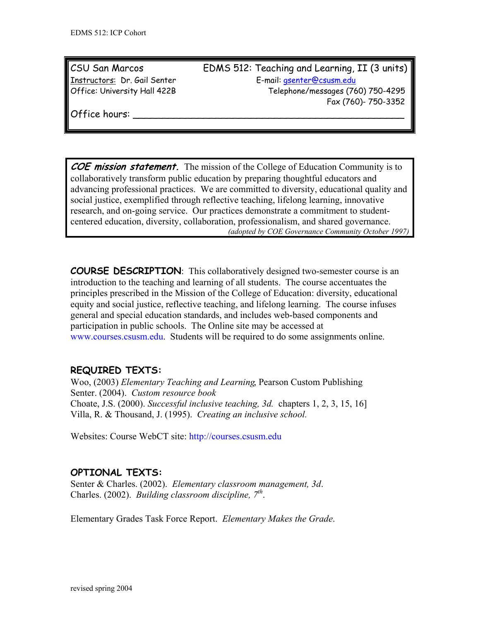CSU San Marcos EDMS 512: Teaching and Learning, II (3 units) Instructors: Dr. Gail Senter E-mail: gsenter@csusm.edu Office: University Hall 422B Telephone/messages (760) 750-4295 Fax (760)- 750-3352

Office hours:

**COE mission statement.** The mission of the College of Education Community is to collaboratively transform public education by preparing thoughtful educators and advancing professional practices. We are committed to diversity, educational quality and social justice, exemplified through reflective teaching, lifelong learning, innovative research, and on-going service. Our practices demonstrate a commitment to studentcentered education, diversity, collaboration, professionalism, and shared governance. *(adopted by COE Governance Community October 1997)*

**COURSE DESCRIPTION**: This collaboratively designed two-semester course is an introduction to the teaching and learning of all students. The course accentuates the principles prescribed in the Mission of the College of Education: diversity, educational equity and social justice, reflective teaching, and lifelong learning. The course infuses general and special education standards, and includes web-based components and participation in public schools. The Online site may be accessed at www.courses.csusm.edu. Students will be required to do some assignments online.

# **REQUIRED TEXTS:**

Woo, (2003) *Elementary Teaching and Learning*, Pearson Custom Publishing Senter. (2004). *Custom resource book*  Choate, J.S. (2000). *Successful inclusive teaching, 3d.* chapters 1, 2, 3, 15, 16] Villa, R. & Thousand, J. (1995). *Creating an inclusive school.*

Websites: Course WebCT site: http://courses.csusm.edu

# **OPTIONAL TEXTS:**

Senter & Charles. (2002). *Elementary classroom management, 3d*. Charles. (2002). *Building classroom discipline*, 7<sup>th</sup>.

Elementary Grades Task Force Report. *Elementary Makes the Grade*.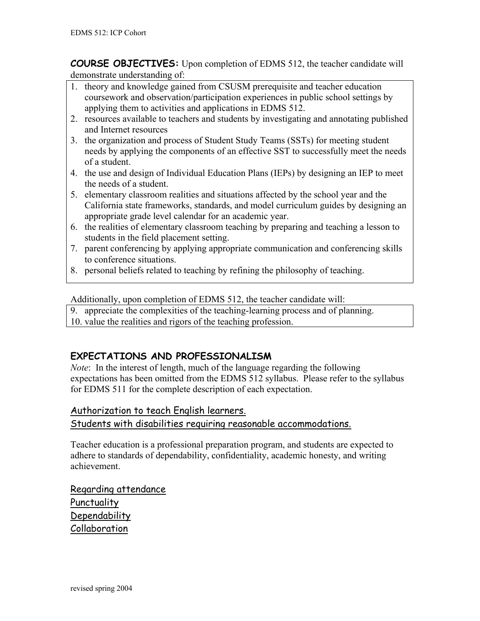**COURSE OBJECTIVES:** Upon completion of EDMS 512, the teacher candidate will demonstrate understanding of:

- 1. theory and knowledge gained from CSUSM prerequisite and teacher education coursework and observation/participation experiences in public school settings by applying them to activities and applications in EDMS 512.
- 2. resources available to teachers and students by investigating and annotating published and Internet resources
- 3. the organization and process of Student Study Teams (SSTs) for meeting student needs by applying the components of an effective SST to successfully meet the needs of a student.
- 4. the use and design of Individual Education Plans (IEPs) by designing an IEP to meet the needs of a student.
- 5. elementary classroom realities and situations affected by the school year and the California state frameworks, standards, and model curriculum guides by designing an appropriate grade level calendar for an academic year.
- 6. the realities of elementary classroom teaching by preparing and teaching a lesson to students in the field placement setting.
- 7. parent conferencing by applying appropriate communication and conferencing skills to conference situations.
- 8. personal beliefs related to teaching by refining the philosophy of teaching.

Additionally, upon completion of EDMS 512, the teacher candidate will:

- 9. appreciate the complexities of the teaching-learning process and of planning.
- 10. value the realities and rigors of the teaching profession.

# **EXPECTATIONS AND PROFESSIONALISM**

*Note*: In the interest of length, much of the language regarding the following expectations has been omitted from the EDMS 512 syllabus. Please refer to the syllabus for EDMS 511 for the complete description of each expectation.

## Authorization to teach English learners.

#### Students with disabilities requiring reasonable accommodations.

Teacher education is a professional preparation program, and students are expected to adhere to standards of dependability, confidentiality, academic honesty, and writing achievement.

Regarding attendance Punctuality Dependability Collaboration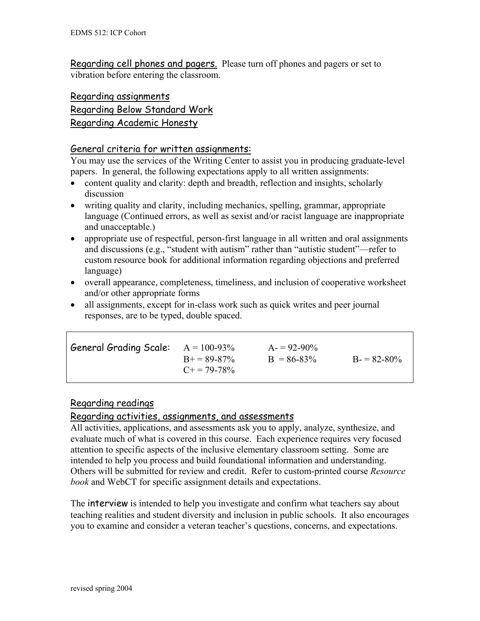Regarding cell phones and pagers. Please turn off phones and pagers or set to vibration before entering the classroom.

# Regarding assignments Regarding Below Standard Work Regarding Academic Honesty

#### General criteria for written assignments:

You may use the services of the Writing Center to assist you in producing graduate-level papers. In general, the following expectations apply to all written assignments:

- content quality and clarity: depth and breadth, reflection and insights, scholarly discussion
- writing quality and clarity, including mechanics, spelling, grammar, appropriate language (Continued errors, as well as sexist and/or racist language are inappropriate and unacceptable.)
- appropriate use of respectful, person-first language in all written and oral assignments and discussions (e.g., "student with autism" rather than "autistic student"—refer to custom resource book for additional information regarding objections and preferred language)
- overall appearance, completeness, timeliness, and inclusion of cooperative worksheet and/or other appropriate forms
- all assignments, except for in-class work such as quick writes and peer journal responses, are to be typed, double spaced.

| $B = 86-83\%$ | $B = 82-80\%$ |
|---------------|---------------|
|               |               |
|               |               |

#### Regarding readings

#### Regarding activities, assignments, and assessments

All activities, applications, and assessments ask you to apply, analyze, synthesize, and evaluate much of what is covered in this course. Each experience requires very focused attention to specific aspects of the inclusive elementary classroom setting. Some are intended to help you process and build foundational information and understanding. Others will be submitted for review and credit. Refer to custom-printed course *Resource book* and WebCT for specific assignment details and expectations.

The interview is intended to help you investigate and confirm what teachers say about teaching realities and student diversity and inclusion in public schools. It also encourages you to examine and consider a veteran teacher's questions, concerns, and expectations.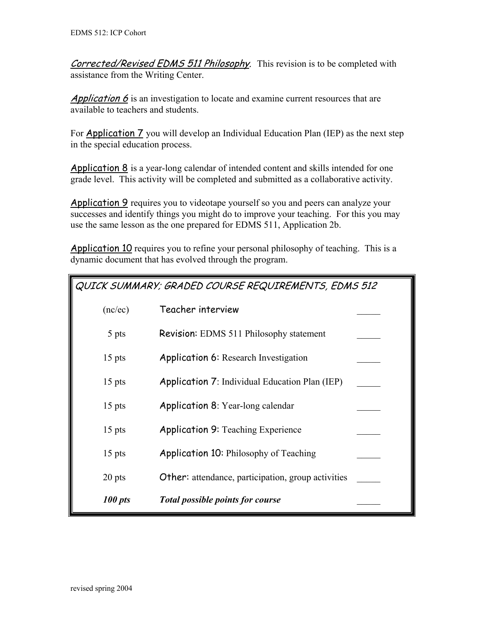Corrected/Revised EDMS 511 Philosophy. This revision is to be completed with assistance from the Writing Center.

Application  $6$  is an investigation to locate and examine current resources that are available to teachers and students.

For Application 7 you will develop an Individual Education Plan (IEP) as the next step in the special education process.

Application 8 is a year-long calendar of intended content and skills intended for one grade level. This activity will be completed and submitted as a collaborative activity.

Application 9 requires you to videotape yourself so you and peers can analyze your successes and identify things you might do to improve your teaching. For this you may use the same lesson as the one prepared for EDMS 511, Application 2b.

Application 10 requires you to refine your personal philosophy of teaching. This is a dynamic document that has evolved through the program.

| QUICK SUMMARY; GRADED COURSE REQUIREMENTS, EDMS 512 |                                                           |  |
|-----------------------------------------------------|-----------------------------------------------------------|--|
| (nc/ec)                                             | Teacher interview                                         |  |
| 5 pts                                               | <b>Revision:</b> EDMS 511 Philosophy statement            |  |
| $15$ pts                                            | <b>Application 6:</b> Research Investigation              |  |
| $15$ pts                                            | <b>Application 7:</b> Individual Education Plan (IEP)     |  |
| $15$ pts                                            | <b>Application 8:</b> Year-long calendar                  |  |
| $15$ pts                                            | <b>Application 9: Teaching Experience</b>                 |  |
| $15$ pts                                            | <b>Application 10: Philosophy of Teaching</b>             |  |
| 20 pts                                              | <b>Other:</b> attendance, participation, group activities |  |
| 100 pts                                             | <b>Total possible points for course</b>                   |  |